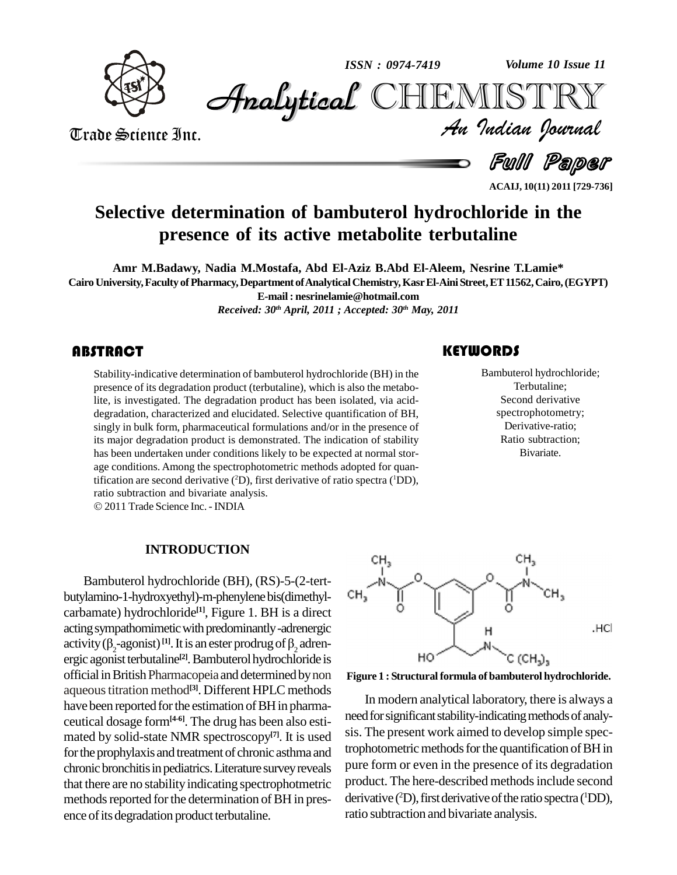

*Volume 10 Issue 11*



Trade Science Inc.

*Volume 10 Issue 11*<br>IISTRY<br>*Indian Iournal* 

Full Paper

**ACAIJ, 10(11) 2011 [729-736]**

# **Selective determination of bambuterol hydrochloride in the presence of its active metabolite terbutaline**

**Amr M.Badawy, Nadia M.Mostafa, Abd El-Aziz B.Abd El-Aleem, Nesrine T.Lamie\* Cairo University,Faculty ofPharmacy,Department ofAnalyticalChemistry,KasrEl-AiniStreet,ET11562,Cairo,(EGYPT) E-mail: [nesrinelamie@hotmail.com](mailto:nesrinelamie@hotmail.com)** *Received: 30 th April, 2011 ; Accepted: 30 th May, 2011*

#### **ABSTRACT**

Stability-indicative determination of bambuterol hydrochloride (BH) in the presence of its degradation product (terbutaline), which is also the metabolite, is investigated. The degradation product has been isolated, via ac Stability-indicative determination of bambuterol hydrochloride (BH) in the presence of its degradation product (terbutaline), which is also the metabodegradation, characterized and elucidated. Selective quantification of BH, singly in bulk form, pharmaceutical formulations and/or in the presence of its major degradation product is demonstrated. The indication of stability has been undertaken under conditions likely to be expected at normal stor age conditions. Among the spectrophotometric methods adopted for quantification are second derivative ( <sup>2</sup>D), first derivative of ratio spectra ( <sup>1</sup>DD), ratio subtraction and bivariate analysis. 2011 Trade Science Inc. -INDIA

Bambuterol hydroc<br>
Terbutaline;<br>
Second derivat Bambuterol hydrochloride; Terbutaline; Second derivative spectrophotometry; Derivative-ratio; Ratio subtraction; Bivariate.

#### **INTRODUCTION**

Bambuterol hydrochloride (BH), (RS)-5-(2-tert butylamino-1-hydroxyethyl)-m-phenylenebis(dimethyl carbamate) hydrochloride<sup>[1]</sup>, Figure 1. BH is a direct<br>acting sympathomimetic with predominantly -adrenergic<br>activity ( $\beta_2$ -agonist)<sup>[1]</sup>. It is an ester prodrug of  $\beta_2$  adren-<br>ergic agonist terbutaline<sup>[2]</sup>. Bambute acting sympathomimetic with predominantly-adrenergic ergic agonist terbutaline<sup>[2]</sup>. Bambuterol hydrochloride is official in British Pharmacopeia and determined by non aqueous titration method<sup>[3]</sup>. Different HPLC methods have been reported for the estimation of BH in pharmaceutical dosage form**[4-6]**. The drug has been also esti mated by solid-state NMR spectroscopy **[7]**. It is used for the prophylaxis and treatment of chronic asthma and chronic bronchitis in pediatrics. Literature survey reveals that there are no stability indicating spectrophotmetric methods reported for the determination of BH in presence of its degradation product terbutaline.



#### **Figure 1 : Structural formula of bambuterol hydrochloride.**

In modern analytical laboratory, there is always a need for significant stability-indicating methods of analysis. The present work aimed to develop simple spectrophotometric methods for the quantification of BH in pure form or even in the presence of its degradation product. The here-described methods include second derivative (<sup>2</sup>D), first derivative of the ratio spectra (<sup>1</sup>DD), ratio subtraction and bivariate analysis.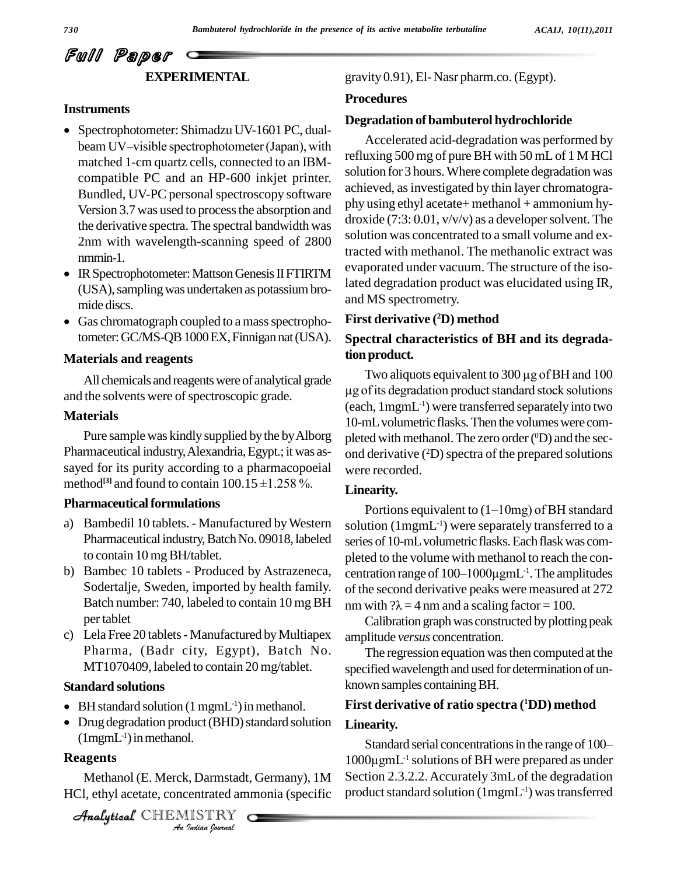## Full Paper **EXPERIMENTAL**

#### **Instruments**

- Spectrophotometer: Shimadzu UV-1601 PC, dualbeam UV-visible spectrophotometer (Japan), with matched 1-cm quartz cells, connected to an IBM compatible PC and an HP-600 inkjet printer. Bundled, UV-PC personal spectroscopy software Version 3.7 was used to process the absorption and the derivative spectra.The spectral bandwidth was 2nm with wavelength-scanning speed of 2800 solution<br>tracted
- IR Spectrophotometer: Mattson Genesis II FTIRTM (USA), sampling was undertaken as potassium bro-<br>mide discs. and
- Gas chromatograph coupled to a mass spectrophotometer: GC/MS-QB 1000 EX, Finnigan nat (USA).

#### **Materials and reagents**

All chemicals and reagentswere of analytical grade and the solvents were of spectroscopic grade.

#### **Materials**

Pure sample was kindly supplied by the by Alborg Pharmaceutical industry,Alexandria,Egypt.; it was as sayed for its purity according to a pharmacopoeial we method<sup>[3]</sup> and found to contain  $100.15 \pm 1.258$  %. reutical industry, Alexandria, Egypt.; it was as-<br>or its purity according to a pharmacopoeial<br><sup>[3]</sup> and found to contain  $100.15 \pm 1.258$  %.

#### **Pharmaceutical formulations**

- a) Bambedil 10 tablets. Manufactured byWestern Pharmaceutical industry, Batch No. 09018, labeled to contain 10 mgBH/tablet.
- b) Bambec 10 tablets Produced by Astrazeneca, Sodertalje, Sweden, imported by health family. Batch number: 740, labeled to contain 10 mg BH per tablet
- c) Lela Free 20 tablets Manufactured by Multiapex Pharma, (Badr city, Egypt), Batch No. MT1070409, labeled to contain 20 mg/tablet.

#### **Standard solutions**

- **Standard solutions**<br>• BH standard solution (1 mgmL<sup>-1</sup>) in methanol.
- $(1$ mgm $L^{-1}$ ) in methanol. • Drug degradation product (BHD) standard solution

#### **Reagents**

*I.*<br>*I.* Darmstadt.<br><br>IISTRY<br>*Indian Iournal* Methanol (E. Merck, Darmstadt, Germany), 1M HCl, ethyl acetate, concentrated ammonia (specific

CHEMISTRY

gravity 0.91), El- Nasr pharm.co. (Egypt).

#### **Procedures**

#### **Degradation of bambuterol hydrochloride**

Accelerated acid-degradation was performed by refluxing 500 mg of pureBH with 50 mLof 1 M HCl solution for 3 hours. Where complete degradation was achieved, asinvestigated by thin layer chromatogra phy using ethyl acetate+ methanol + ammonium hy droxide  $(7:3:0.01, v/v/v)$  as a developer solvent. The solution was concentrated to a small volume and extracted with methanol. The methanolic extract was evaporated under vacuum. The structure of the isolated degradation product was elucidated using IR, and MS spectrometry.

#### **First derivative ( <sup>2</sup>D) method**

#### **Spectral characteristics of BH and its degrada-** $\boldsymbol{\mathrm{t}}$  ion  $\boldsymbol{\mathrm{product}}$ .

Two aliquots equivalent to 300 µg of BH and 100 µg of its degradation product standard stock solutions (each, 1mgmL -1) were transferred separately into two 10-mL volumetric flasks. Then the volumes were completed with methanol. The zero order (<sup>0</sup>D) and the second derivative (<sup>2</sup>D) spectra of the prepared solutions were recorded.

#### **Linearity.**

Portions equivalent to  $(1-10mg)$  of BH standard solution (1mgmL -1) were separately transferred to a series of 10-mL volumetric flasks. Each flask was completed to the volume with methanol to reach the con series of 10-mL volumetric flasks. Each flask was completed to the volume with methanol to reach the concentration range of 100–1000μgmL<sup>-1</sup>. The amplitudes of the second derivative peaks were measured at 272 nm with  $? \lambda = 4$  nm and a scaling factor = 100.

Calibration graph was constructed by plotting peak amplitude *versus* concentration.

The regression equation was then computed at the specified wavelength and used for determination of unknown samples containingBH.

### **First derivative of ratio spectra ( <sup>1</sup>DD) method Linearity.**

Standard serial concentrations in the range of 100– **Linearity.**<br>Standard serial concentrations in the range of 100–<br>1000μgmL<sup>-1</sup> solutions of BH were prepared as under Section 2.3.2.2.Accurately 3mLof the degradation product standard solution (1mgmL<sup>-1</sup>) was transferred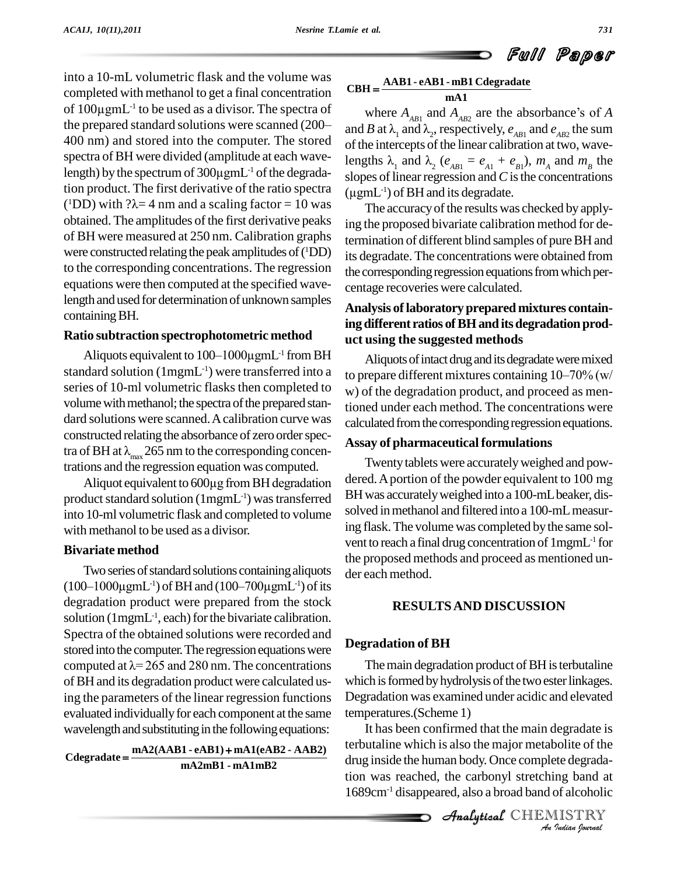into a 10-mL volumetric flask and the volume was completed with methanol to get a final concentration into a 10-mL volumetric flask and the volume was<br>completed with methanol to get a final concentration CB<br>of 100μgmL<sup>-1</sup> to be used as a divisor. The spectra of completed with methanol to get a final concentration<br>of  $100\mu$ gmL<sup>-1</sup> to be used as a divisor. The spectra of<br>the prepared standard solutions were scanned (200<sup>-</sup> and B a 400 nm) and stored into the computer. The stored of the is spectra of BH were divided (amplitude at each wavelengths lengths lengths of 300 $\mu$ gmL<sup>-1</sup> of the degrada-slopes spectra of BH were divided (amplitude at each wavelength) by the spectrum of  $300\mu$ gmL<sup>-1</sup> of the degradation product. The first derivative of the ratio spectra  $\mu_{\text{pml}}$ (<sup>1</sup>DD) with  $? \lambda = 4$  nm and a scaling factor = 10 was ength) by the spectrum of 300 $\mu$ gmL<sup>-1</sup> of the degrada-<br>ion product. The first derivative of the ratio spectra ( $\mu$ gn<br><sup>1</sup>DD) with ? $\lambda$ = 4 nm and a scaling factor = 10 was obtained. The amplitudes of the first derivative peaks of BH were measured at 250 nm. Calibration graphs were constructed relating the peak amplitudes of ( ${}^{1}$ DD) its c to the corresponding concentrations. The regression equations were then computed at the specified wavelength and used for determination of unknown samples containing BH.

#### **Ratio subtraction spectrophotometric method**

 $\begin{array}{lll} \text{ing differen} \ \text{in} & \text{if there} \ \text{in} & \text{and} \ \text{ing different} & \text{in} & \text{and} \ \text{Aliquots} & \text{equivalent to } & 100–1000 \mu\text{gm} & \text{from BH} \ \end{array}$ standard solution ( $1$ mgmL<sup>-1</sup>) were transferred into a  $1$ <sub>to pres</sub> series of 10-ml volumetric flasks then completed to volume with methanol; the spectra of the prepared standard solutions were scanned.Acalibration curve was constructed relating the absorbance of zero order specdard solutions were scanned. A calibration curve was<br>constructed relating the absorbance of zero order spec-<br>tra of BH at  $\lambda_{\text{max}}$  265 nm to the corresponding concentrations and the regression equation was computed. of BH at  $\lambda_{\text{max}}$  265 nm to the corresponding concensions and the regression equation was computed. Two Aliquot equivalent to 600 $\mu$ g from BH degradation dered.

product standard solution (1mgmL<sup>-1</sup>) was transferred BH wa into 10-ml volumetric flask and completed to volume with methanol to be used as a divisor.

#### **Bivariate method**

Two series of standard solutions containing aliquots **Bivariate method** the p<br>
Two series of standard solutions containing aliquots dere<br>  $(100-1000\mu gmL^{-1})$  of BH and  $(100-700\mu gmL^{-1})$  of its degradation product were prepared from the stock solution (1mgmL<sup>-1</sup>, each) for the bivariate calibration. Spectra of the obtained solutions were recorded and<br>stored into the computer. The regression equations were<br>computed at  $\lambda$ = 265 and 280 nm. The concentrations stored into the computer. The regression equations were ofBH and its degradation productwere calculated using the parameters of the linear regression functions evaluated individually for each component at the same wavelength and substituting in the following equations:

**mA2mB1 - mA1mB2 mA2(AAB1 - eAB1) mA1(eAB2 - AAB2) Cdegradate**

# **mA1 AAB1 - eAB1 - mB1 Cdegradate CBH**  $H = \frac{AAB1 - eAB1 - mB1 \text{ Cdegraduate}}{mA1}$ <br>where  $A_{AB1}$  and  $A_{AB2}$  are the absorbance's of *A*

where  $A_{AB1}$  and  $A_{AB2}$  are the absorbance's of *A*<br>and *B* at  $\lambda_1$  and  $\lambda_2$ , respectively,  $e_{AB1}$  and  $e_{AB2}$  the sum<br>of the intercepts of the linear calibration at two, wave-<br>lengths  $\lambda_1$  and  $\lambda_2$  ( $e_{AB1} = e_{A$ of the intercepts of the linear calibration at two, wavelengths  $\lambda_1$  and  $\lambda_2$  ( $e_{AB1} = e_{A1} + e_{B1}$ ),  $m_A$  and  $m_B$  the slopes of linear regression and C is the concentrations ( $\mu$ gmL<sup>-1</sup>) of BH and its degradate. slopes of linear regression and  $C$  is the concentrations  $(\mu$ gmL<sup>-1</sup>) of BH and its degradate.

The accuracy of the results was checked by applying the proposed bivariate calibration method for determination of different blind samples of pureBH and its degradate. The concentrations were obtained from the corresponding regression equations from which percentage recoveries were calculated.

#### **Analysis oflaboratory prepared mixtures containing different ratios ofBHanditsdegradation prod uct using the suggested methods**

Aliquots of intact drug and its degradate were mixed to prepare different mixtures containing  $10-70\%$  (w/ w) of the degradation product, and proceed as mentioned under each method. The concentrations were calculated from the corresponding regression equations.

#### **Assay of pharmaceuticalformulations**

Twenty tablets were accurately weighed and powdered.Aportion of the powder equivalent to <sup>100</sup> mg BH was accurately weighed into a 100-mL beaker, dissolved in methanol and filtered into a 100-mL measuring flask.The volume was completed bythe same sol vent to reach a final drug concentration of 1mgmL -1 for the proposed methods and proceed as mentioned un der each method.

#### **RESULTSAND DISCUSSION**

#### **Degradation of BH**

The main degradation product of BH is terbutaline which is formed by hydrolysis of the two ester linkages. Degradation was examined under acidic and elevated temperatures.(Scheme 1)

It has been confirmed that the main degradate is *Indian*<br>*Indian*<br>*Indian*<br>*IISTRY*<br>*Indian bournal* terbutaline which is also the major metabolite of the drug inside the human body. Once complete degradation was reached, the carbonyl stretching band at 1689cm-1 disappeared, also a broad band of alcoholic

CHEMISTRY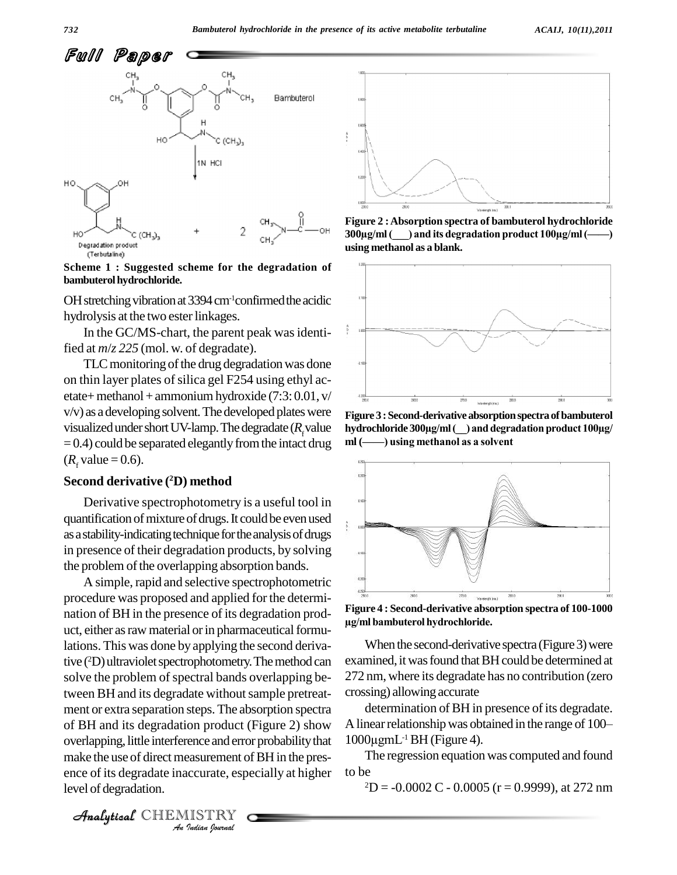

**Scheme 1 : Suggested scheme for the degradation of bambuterol hydrochloride.** 

OH stretching vibration at  $3394 \text{ cm}^{-1}$ confirmed the acidic hydrolysis at the two ester linkages.

In the GC/MS-chart, the parent peak was identified at *m*/*z 225* (mol. w. of degradate).

TLC monitoring of the drug degradation was done on thin layer plates of silica gel F254 using ethyl acetate+ methanol + ammonium hydroxide  $(7:3:0.01, v/$  $v/v$ ) as a developing solvent. The developed plates were visualized under short UV-lamp. The degradate ( $R_f$ value hydrochloride 300µg/ml ( $\_\$ ) and degra = 0.4) could be separated elegantly from the intact drug ml ( $\_\$ ) using methanol as a solvent  $(R_f$  value = 0.6).

#### **Second derivative ( <sup>2</sup>D) method**

Derivative spectrophotometry is a useful tool in quantification of mixture of drugs. It could be even used as a stability-indicating technique for the analysis of drugs in presence of their degradation products, by solving the problem of the overlapping absorption bands.

overlapping, little interference and error probability that 10 **I**<br>Peasurement of<br>*ISTRY*<br>*ISTRY* A simple, rapid and selective spectrophotometric procedure was proposed and applied forthe determi nation of BH in the presence of its degradation prod-<br>  $\frac{1}{2}$  ml bambuterol hydrochloride. uct, either as raw material or in pharmaceutical formulations. This was done by applying the second derivative (<sup>2</sup>D) ultraviolet spectrophotometry. The method can examin solve the problem of spectral bands overlapping between BH and its degradate without sample pretreatment or extra separation steps.The absorption spectra of BH and its degradation product (Figure 2) show make the use of direct measurement of BH in the presence of its degradate inaccurate, especially at higher level of degradation.



**Figure 2 :Absorption spectra of bambuterol hydrochloride 30**<br> **100y**<br> **300**µg/ml(
(and its degradation product 100µg/ml(
——) **using methanol as a blank.**



**Figure 3 :Second-derivativeabsorptionspectra ofbambuterol hydrochloride <sup>300</sup>µg/ml(\_\_) anddegradationproduct 100µg/ Figure 3 : Second-derivative absorption spect**<br>hydrochloride 300µg/ml (\_\_) and degradation<br>ml (-----------) using methanol as a solvent



**Figure 4 : Second-derivative absorption spectra of 100-1000 belleville and the conductive conducts**<br> **bambuterol hydrochloride.** 

When the second-derivative spectra (Figure 3) were examined, it was found that BH could be determined at 272 nm, where its degradate has no contribution (zero crossing) allowing accurate

determination of BH in presence of its degradate. crossing) allowing accurate<br>determination of BH in presence of its degradate.<br>A linear relationship was obtained in the range of 100– determination of B<br>
A linear relationship wa<br>  $1000\mu gmL^{-1}BH$  (Figur  $1000 \mu$ gmL<sup>-1</sup> BH (Figure 4).

The regression equation was computed and found to be

 $2D = -0.0002 C - 0.0005$  (r = 0.9999), at 272 nm

CHEMISTRY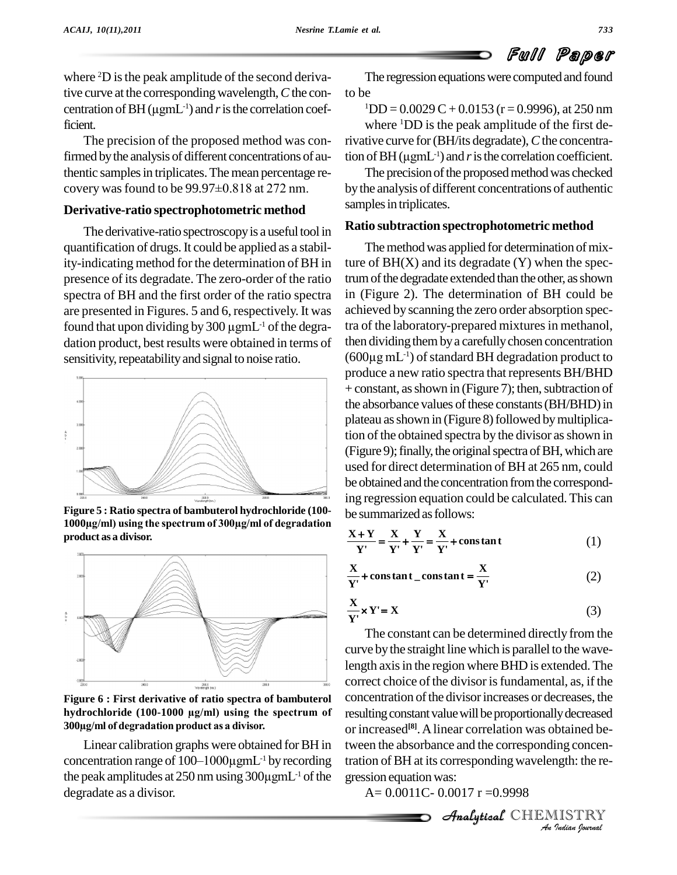where <sup>2</sup>D is the peak amplitude of the second derivative curve at the corresponding wavelength, C the con- to b where <sup>2</sup>D is the peak amplitude of the tive curve at the corresponding wave centration of BH ( $\mu$ gmL<sup>-1</sup>) and *r* is the centration of BH  $(\mu g m L^{-1})$  and *r* is the correlation coefficient.

The precision of the proposed method was confirmed by the analysis of different concentrations of au-<br>thentic samples in triplicates. The mean percentage re-<br>covery was found to be 99.97±0.818 at 272 nm. thentic samples in triplicates. The mean percentage re-

#### **Derivative-ratio spectrophotometric method**

The derivative-ratio spectroscopy is a useful tool in quantification of drugs.It could be applied as a stability-indicating method for the determination of BH in presence of its degradate. The zero-order of the ratio spectra of BH and the first order of the ratio spectra in (Fi<br>are presented in Figures. 5 and 6, respectively. It was achiev<br>found that upon dividing by  $300 \mu g m L^{-1}$  of the degra-tra of are presented in Figures. 5 and 6, respectively. It was found that upon dividing by 300  $\mu$ gmL<sup>-1</sup> of the degradation product, best results were obtained in terms of sensitivity, repeatability and signal to noise ratio.



**Figure 5 : Ratio spectra of bambuterol hydrochloride (100- 1000h**<br>**1000µg/ml)** using the spectrum of 300µg/ml of degradation **product as a divisor.**



Figure 6 : First derivative of ratio spectra of bambuterol  $\frac{C}{D}$ <br>hydrochloride (100-1000 µg/ml) using the spectrum of re<br>300µg/ml of degradation product as a divisor. **hydrochloride** (100-1000 **µg/ml) example <b>hydrochloride** (100-1000 **µg/ml) using** the spectrum of

Linear calibration graphs were obtained forBH in  $300 \mu$ g/ml of degradation product as a divisor.  $\frac{1}{2}$  or increasing Linear calibration graphs were obtained for BH in tween to concentration range of  $100-1000 \mu$ gmL<sup>-1</sup> by recording tration Linear calibration graphs were obtained for BH in tween<br>concentration range of  $100-1000\mu gmL^{-1}$  by recording tration<br>the peak amplitudes at 250 nm using  $300\mu gmL^{-1}$  of the gressi degradate as a divisor.

The regression equations were computed and found to be

 $1DD = 0.0029 C + 0.0153$  (r = 0.9996), at 250 nm where <sup>1</sup>DD is the peak amplitude of the first derivative curve for(BH/its degradate),*C*the concentrawhere <sup>1</sup>DD is the peak are<br>rivative curve for (BH/its degree tion of BH ( $\mu$ gmL<sup>-1</sup>) and *r* is the tion of BH  $(\mu g m L^{-1})$  and *r* is the correlation coefficient.

The precision of the proposed method was checked bythe analysis of different concentrations of authentic samples in triplicates.

#### **Ratio subtraction spectrophotometric method**

The method was applied for determination of mixture of  $BH(X)$  and its degradate  $(Y)$  when the spectrum of the degradate extended than the other, as shown in (Figure 2). The determination of BH could be achieved by scanning the zero order absorption spectra of the laboratory-prepared mixtures in methanol, then dividing them by a carefully chosen concentration tra of the laboratory-pre<br>then dividing them by a<br>(600μg mL<sup>-1</sup>) of standa  $(600\mu g\,mL^{-1})$  of standard BH degradation product to produce a new ratio spectra that represents BH/BHD + constant, as shown in (Figure 7); then, subtraction of the absorbance values of these constants (BH/BHD) in plateau as shown in (Figure 8) followed by multiplication of the obtained spectra by the divisor as shown in  $(Figure 9)$ ; finally, the original spectra of BH, which are used for direct determination of BH at 265 nm, could be obtained and the concentration from the corresponding regression equation could be calculated. This can be summarized as follows:<br> $\frac{X+Y}{X} = \frac{X}{X} + \frac{Y}{X} = \frac{X}{X} + constant$ 

$$
\frac{X+Y}{Y'} = \frac{X}{Y'} + \frac{Y}{Y'} = \frac{X}{Y'} + \text{constant}
$$
 (1)

$$
Y' = Y' + Y' = Y'
$$
 (1)  

$$
\frac{X}{Y'}
$$
 + constant  $=$  constant =  $\frac{X}{Y'}$  (2)

$$
Y' = X
$$
  

$$
\frac{X}{Y'} \times Y' = X
$$
 (3)

or increased<sup>[8]</sup>. A linear correlation was obtained be-*Ing concenting*<br>*Ing concenting*<br>*IISTRY*<br>*Indian Iournal* tween the absorbance and the corresponding concen-The constant can be determined directly from the curve by the straight line which is parallel to the wavelength axis in the region where BHD is extended. The correct choice of the divisor is fundamental, as, if the concentration of the divisor increases or decreases, the resulting constant value will be proportionally decreased tration ofBH at its correspondingwavelength: the re gression equation was:

 $A= 0.0011C- 0.0017r = 0.9998$ 

CHEMISTRY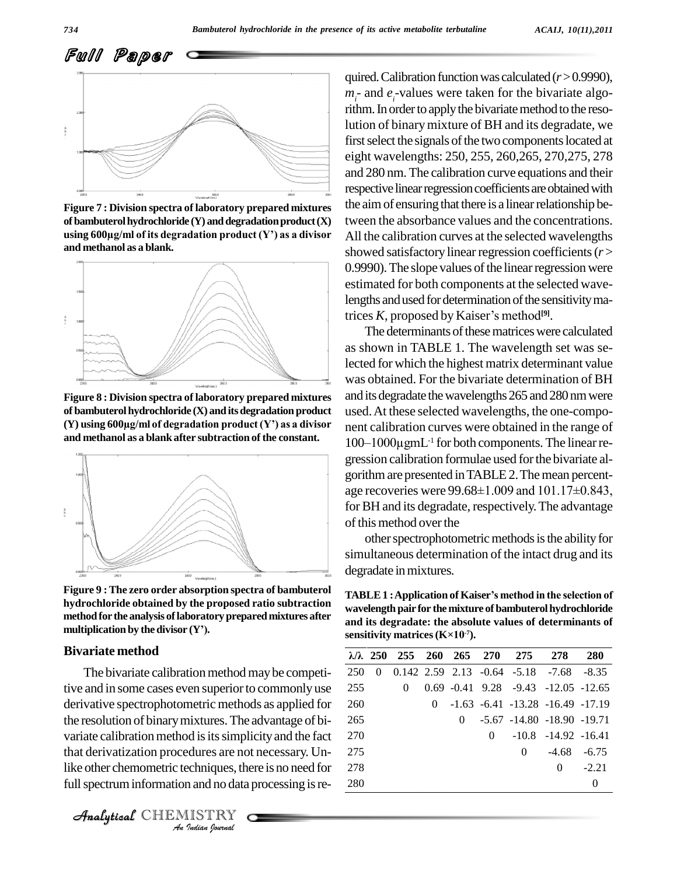

Figure 7 : Division spectra of laboratory prepared mixtures the a<br>of bambuterol hydrochloride (Y) and degradation product (X) twee<br>using 600µg/ml of its degradation product (Y') as a divisor All t **of bambuterol hydrochloride (Y)** and degradation product **(X) and methanol as a blank.**



**Figure 8 : Division spectra of laboratory prepared mixtures of bambuterolhydrochloride (X) anditsdegradation product (Y) using <sup>600</sup>µg/ml of degradation product (Yí) as <sup>a</sup> divisor and methanol as a blank after subtraction ofthe constant.**



**Figure 9 :The zero order absorption spectra of bambuterol hydrochloride obtained by the proposed ratio subtraction methodfor the analysis oflaboratorypreparedmixtures after** hydrochloride obtained by the prop<br>method for the analysis of laboratory p<br>multiplication by the divisor (Y').

#### **Bivariate method**

variate calibration method is its simplicity and the fact 27 *Indian*<br>*Indures are no*<br>*Indian Indian*<br>*IISTRY* The bivariate calibration method may be competitive and in some cases even superior to commonly use derivative spectrophotometric methods as applied for the resolution of binarymixtures.The advantage of bi that derivatization procedures are not necessary. Unlike other chemometric techniques, there is no need for full spectrum information and no data processing is re-



quired. Calibration function was calculated  $(r > 0.9990)$ ,  $m<sub>i</sub>$ - and  $e<sub>i</sub>$ -values were taken for the bivariate algorithm. In order to apply the bivariate method to the resolution of binary mixture of BH and its degradate, we first select the signals of the two components located at eight wavelengths: 250, 255, 260,265, 270,275, 278 and 280 nm. The calibration curve equations and their respective linear regression coefficients are obtained with the aim of ensuring that there is a linear relationship between the absorbance values and the concentrations. All the calibration curves at the selected wavelengths showed satisfactory linear regression coefficients ( $r$  > 0.9990). The slope values of the linear regression were estimated for both components at the selected wave-<br>lengths and used for determination of the sensitivity ma-<br>trices *K*, proposed by Kaiser's method<sup>[9]</sup>. lengths and used for determination of the sensitivity matrices  $K$ , proposed by Kaiser's method<sup>[9]</sup>.

The determinants of these matrices were calculated as shown in TABLE 1. The wavelength set was selected for which the highest matrix determinant value was obtained. For the bivariate determination of BH and its degradate the wavelengths 265 and 280 nm were used.At these selected wavelengths, the one-compo nent calibration curves were obtained in the range of used. At these selected wavelengths, the one-compo-<br>nent calibration curves were obtained in the range of<br>100–1000μgmL<sup>-1</sup> for both components. The linear regression calibration formulae used for the bivariate al-<br>gorithm are presented in TABLE 2. The mean percent-<br>age recoveries were 99.68±1.009 and 101.17±0.843, gorithmare presented inTABLE2.Themean percent for BH and its degradate, respectively. The advantage of this method over the

other spectrophotometric methods is the ability for simultaneous determination of the intact drug and its degradate in mixtures.

**TABLE1 :Application of Kaiserís method in the selection of wavelength** pair for the mixture of bambuterol hydrochloride **and itsdegradate: the absolute values of determinants of** wavelength pair for the mixture of ba<br>and its degradate: the absolute va<br>sensitivity matrices (K×10<sup>-7</sup>). **: Sensitivity matrices (K×10<sup>-7</sup>).** 

|     |   |          |          | λ/λ 250 255 260 265 270 275 278 |                                                                    | <b>280</b> |
|-----|---|----------|----------|---------------------------------|--------------------------------------------------------------------|------------|
| 250 | 0 |          |          |                                 | $0.142$ $2.59$ $2.13$ $-0.64$ $-5.18$ $-7.68$ $-8.35$              |            |
| 255 |   | $\theta$ |          |                                 | $0.69 - 0.41 - 9.28 - 9.43 - 12.05 - 12.65$                        |            |
| 260 |   |          |          |                                 | $0 \quad -1.63 \quad -6.41 \quad -13.28 \quad -16.49 \quad -17.19$ |            |
| 265 |   |          | $\Omega$ |                                 | -5.67 -14.80 -18.90 -19.71                                         |            |
| 270 |   |          |          |                                 | $0 \quad -10.8 \quad -14.92 \quad -16.41$                          |            |
| 275 |   |          |          | $\theta$                        | $-4.68$ $-6.75$                                                    |            |
| 278 |   |          |          |                                 | $\theta$                                                           | $-2.21$    |
| 280 |   |          |          |                                 |                                                                    | $\theta$   |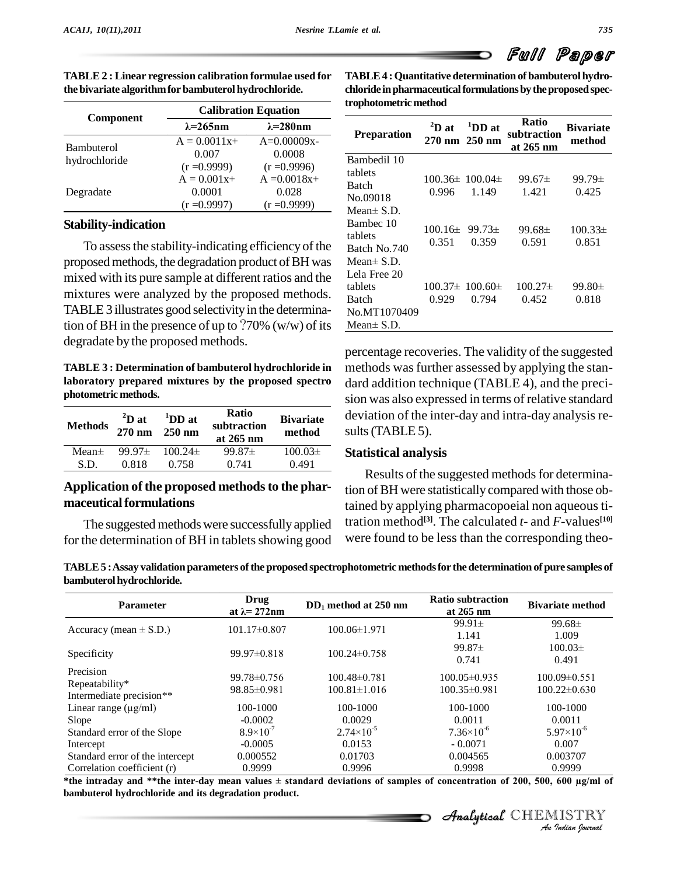Full Paper

**Ratio**

| TABLE 2 : Linear regression calibration formulae used for | TABLE 4 : Quantitative determination of bambuterol hydro-     |
|-----------------------------------------------------------|---------------------------------------------------------------|
| the bivariate algorithm for bambuterol hydrochloride.     | chloride in pharmaceutical formulations by the proposed spec- |
|                                                           | tuankatamatuta mathad                                         |

|                   |                                           | <b>Calibration Equation</b>                | trophotometric method                           |                                  |                    |  |  |
|-------------------|-------------------------------------------|--------------------------------------------|-------------------------------------------------|----------------------------------|--------------------|--|--|
| <b>Component</b>  | $\lambda = 265$ nm                        | $\lambda = 280$ nm                         |                                                 | ${}^{2}D$ at                     | $\mathbf{^{1}DD}:$ |  |  |
| <b>Bambuterol</b> | $A = 0.0011x+$                            | $A=0.00009x-$                              | <b>Preparation</b>                              | $270 \text{ nm}$ $250 \text{ n}$ |                    |  |  |
| hydrochloride     | 0.007<br>$(r = 0.9999)$                   | 0.0008<br>$(r = 0.9996)$                   | Bambedil 10                                     |                                  |                    |  |  |
| Degradate         | $A = 0.001x+$<br>0.0001<br>$(r = 0.9997)$ | $A = 0.0018x +$<br>0.028<br>$(r = 0.9999)$ | tablets<br>Batch<br>No.09018<br>Mean $\pm$ S.D. | $100.36 \pm 100.0$<br>0.996      | 1.14               |  |  |
|                   |                                           |                                            |                                                 |                                  |                    |  |  |

#### **Stability-indication**

To assessthe stability-indicating efficiency of the proposed methods, the degradation product of BH was mixed with its pure sample at different ratios and the mixtures were analyzed by the proposed methods. TABLE 3 illustrates good selectivity in the determination of BH in the presence of up to  $?70\%$  (w/w) of its degradate by the proposed methods.

**TABLE 3 : Determination of bambuterol hydrochloride in laboratory prepared mixtures by the proposed spectro photometric methods.**

| <b>Methods</b> | $^{2}D$ at<br>$270 \text{ nm}$ | $1$ DD at<br>$250 \text{ nm}$ | <b>Ratio</b><br>subtraction<br>at 265 nm | <b>Bivariate</b><br>method | dev<br>sult |
|----------------|--------------------------------|-------------------------------|------------------------------------------|----------------------------|-------------|
| $Mean\pm$      | $99.97\pm$                     | $100.24\pm$                   | $99.87\pm$                               | $100.03\pm$                | <b>Stat</b> |
| S.D.           | 0.818                          | 0.758                         | 0.741                                    | 0.491                      |             |

#### **Application of the proposed methodsto the phar maceutical formulations**

The suggested methodswere successfully applied for the determination of BH in tablets showing good

| <b>Preparation</b> | ${}^{2}D$ at<br>270 nm 250 nm            | $1^{1}$ DD at                                                                                                                                                                                                                                                                  | Kauo<br>subtraction<br>at 265 nm | <b>Bivariate</b><br>method |
|--------------------|------------------------------------------|--------------------------------------------------------------------------------------------------------------------------------------------------------------------------------------------------------------------------------------------------------------------------------|----------------------------------|----------------------------|
| Bambedil 10        |                                          |                                                                                                                                                                                                                                                                                |                                  |                            |
| tablets            |                                          | $100.36 \pm 100.04 \pm 100.04$                                                                                                                                                                                                                                                 | $99.67 \pm$                      | $99.79 \pm$                |
| Batch              | 0.996                                    | 1.149                                                                                                                                                                                                                                                                          | 1.421                            | 0.425                      |
| No.09018           |                                          |                                                                                                                                                                                                                                                                                |                                  |                            |
| Mean $\pm$ S.D.    |                                          |                                                                                                                                                                                                                                                                                |                                  |                            |
| Bambec 10          | $100.16 \pm 99.73 \pm 100.16 \pm 100.16$ |                                                                                                                                                                                                                                                                                | $99.68 \pm$                      | $100.33\pm$                |
| tablets            |                                          |                                                                                                                                                                                                                                                                                |                                  |                            |
| Batch No.740       | 0.351                                    | 0.359                                                                                                                                                                                                                                                                          | 0.591                            | 0.851                      |
| Mean $\pm$ S.D.    |                                          |                                                                                                                                                                                                                                                                                |                                  |                            |
| Lela Free 20       |                                          |                                                                                                                                                                                                                                                                                |                                  |                            |
| tablets            |                                          | $100.37 \pm 100.60 \pm 100.60 \pm 100.60 \pm 100.60 \pm 100.60 \pm 100.60 \pm 100.60 \pm 100.60 \pm 100.60 \pm 100.60 \pm 100.60 \pm 100.60 \pm 100.60 \pm 100.60 \pm 100.60 \pm 100.60 \pm 100.60 \pm 100.60 \pm 100.60 \pm 100.60 \pm 100.60 \pm 100.60 \pm 100.60 \pm 100.$ | $100.27\pm$                      | $99.80 \pm$                |
| Batch              | 0.929                                    | 0.794                                                                                                                                                                                                                                                                          | 0.452                            | 0.818                      |
| No.MT1070409       |                                          |                                                                                                                                                                                                                                                                                |                                  |                            |
| Mean± S.D.         |                                          |                                                                                                                                                                                                                                                                                |                                  |                            |

**Bivariate** deviation of the inter-day and intra-day analysis re **method** sults(TABLE 5). percentage recoveries. The validity of the suggested methods was further assessed by applying the standard addition technique (TABLE 4), and the preci sion was also expressed in terms of relative standard

#### **Statistical analysis**

Results of the suggested methods for determination of BH were statistically compared with those obtained by applying pharmacopoeial non aqueoustitration method **[3]**. The calculated *t*- and *F*-values **[10]** were found to be less than the corresponding theo-

**TABLE5 :Assay validation parameters ofthe proposed spectrophotometric methodsfor the determination ofpure samples of bambuterol hydrochloride.** 

| <b>Parameter</b>                                                                                                                                                                       | Drug<br>at $\lambda$ = 272nm | $DD_1$ method at 250 nm | <b>Ratio subtraction</b><br>at $265 \text{ nm}$ | <b>Bivariate method</b> |
|----------------------------------------------------------------------------------------------------------------------------------------------------------------------------------------|------------------------------|-------------------------|-------------------------------------------------|-------------------------|
|                                                                                                                                                                                        | $101.17\pm0.807$             | $100.06 \pm 1.971$      | $99.91 \pm$                                     | $99.68 \pm$             |
| Accuracy (mean $\pm$ S.D.)                                                                                                                                                             |                              |                         | 1.141                                           | 1.009                   |
|                                                                                                                                                                                        |                              |                         | $99.87 \pm$                                     | $100.03\pm$             |
| Specificity                                                                                                                                                                            | 99.97±0.818                  | $100.24 \pm 0.758$      | 0.741                                           | 0.491                   |
| Precision                                                                                                                                                                              | $99.78 \pm 0.756$            | $100.48 \pm 0.781$      | $100.05 \pm 0.935$                              | $100.09\pm0.551$        |
| Repeatability*                                                                                                                                                                         | 98.85±0.981                  | $100.81 \pm 1.016$      | $100.35 \pm 0.981$                              | $100.22 \pm 0.630$      |
| Intermediate precision**                                                                                                                                                               |                              |                         |                                                 |                         |
| Linear range $(\mu g/ml)$                                                                                                                                                              | 100-1000                     | 100-1000                | 100-1000                                        | 100-1000                |
| Slope                                                                                                                                                                                  | $-0.0002$                    | 0.0029                  | 0.0011                                          | 0.0011                  |
| Standard error of the Slope                                                                                                                                                            | $8.9\times10^{-7}$           | $2.74\times10^{-5}$     | $7.36\times10^{-6}$                             | $5.97\times10^{-6}$     |
| Intercept                                                                                                                                                                              | $-0.0005$                    | 0.0153                  | $-0.0071$                                       | 0.007                   |
| Standard error of the intercept                                                                                                                                                        | 0.000552                     | 0.01703                 | 0.004565                                        | 0.003707                |
| Correlation coefficient (r)                                                                                                                                                            | 0.9999                       | 0.9996                  | 0.9998                                          | 0.9999                  |
| *the intraday and **the inter-day mean values $\pm$ standard deviations of samples of concentration of 200, 500, 600 µg/ml of<br>bambuterol hydrochloride and its degradation product. |                              |                         |                                                 |                         |
|                                                                                                                                                                                        |                              |                         |                                                 | Analytical CHEMISTRY    |
|                                                                                                                                                                                        |                              |                         |                                                 | An Indian Nournal       |